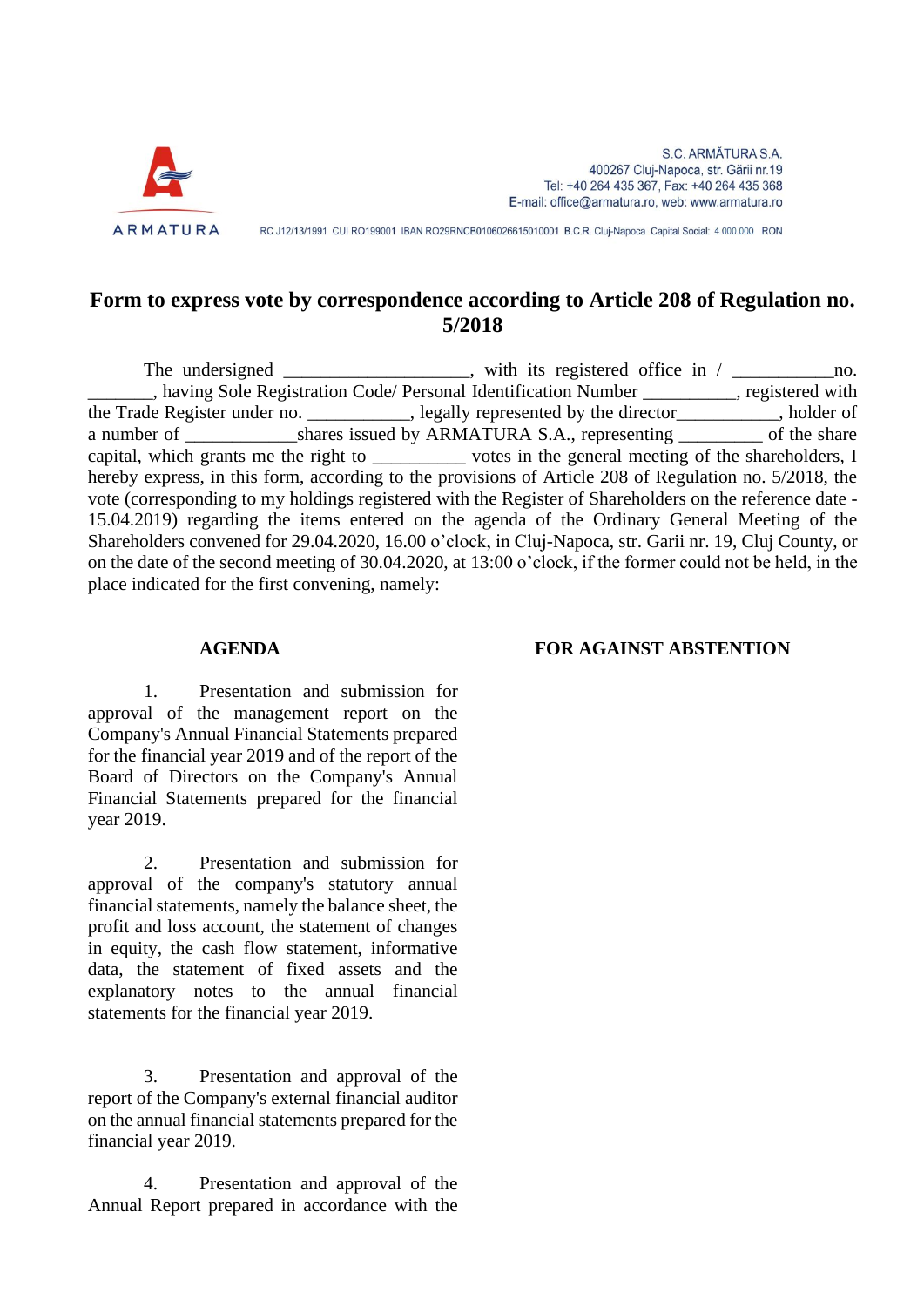

RC J12/13/1991 CUI RO199001 IBAN RO29RNCB0106026615010001 B.C.R. Cluj-Napoca Capital Social: 4.000.000 RON

## **Form to express vote by correspondence according to Article 208 of Regulation no. 5/2018**

The undersigned \_\_\_\_\_\_\_\_\_\_\_\_\_\_\_, with its registered office in / \_\_\_\_\_\_\_\_\_\_\_\_\_\_\_no. \_\_\_\_\_\_\_, having Sole Registration Code/ Personal Identification Number \_\_\_\_\_\_\_\_\_\_, registered with the Trade Register under no. \_\_\_\_\_\_\_, legally represented by the director\_\_\_\_\_\_\_\_\_, holder of a number of \_\_\_\_\_\_\_\_\_\_\_\_\_shares issued by ARMATURA S.A., representing \_\_\_\_\_\_\_\_\_\_ of the share capital, which grants me the right to \_\_\_\_\_\_\_\_\_\_ votes in the general meeting of the shareholders, I hereby express, in this form, according to the provisions of Article 208 of Regulation no. 5/2018, the vote (corresponding to my holdings registered with the Register of Shareholders on the reference date - 15.04.2019) regarding the items entered on the agenda of the Ordinary General Meeting of the Shareholders convened for 29.04.2020, 16.00 o'clock, in Cluj-Napoca, str. Garii nr. 19, Cluj County, or on the date of the second meeting of 30.04.2020, at 13:00 o'clock, if the former could not be held, in the place indicated for the first convening, namely:

1. Presentation and submission for approval of the management report on the Company's Annual Financial Statements prepared for the financial year 2019 and of the report of the Board of Directors on the Company's Annual Financial Statements prepared for the financial year 2019.

2. Presentation and submission for approval of the company's statutory annual financial statements, namely the balance sheet, the profit and loss account, the statement of changes in equity, the cash flow statement, informative data, the statement of fixed assets and the explanatory notes to the annual financial statements for the financial year 2019.

3. Presentation and approval of the report of the Company's external financial auditor on the annual financial statements prepared for the financial year 2019.

4. Presentation and approval of the Annual Report prepared in accordance with the

## **AGENDA FOR AGAINST ABSTENTION**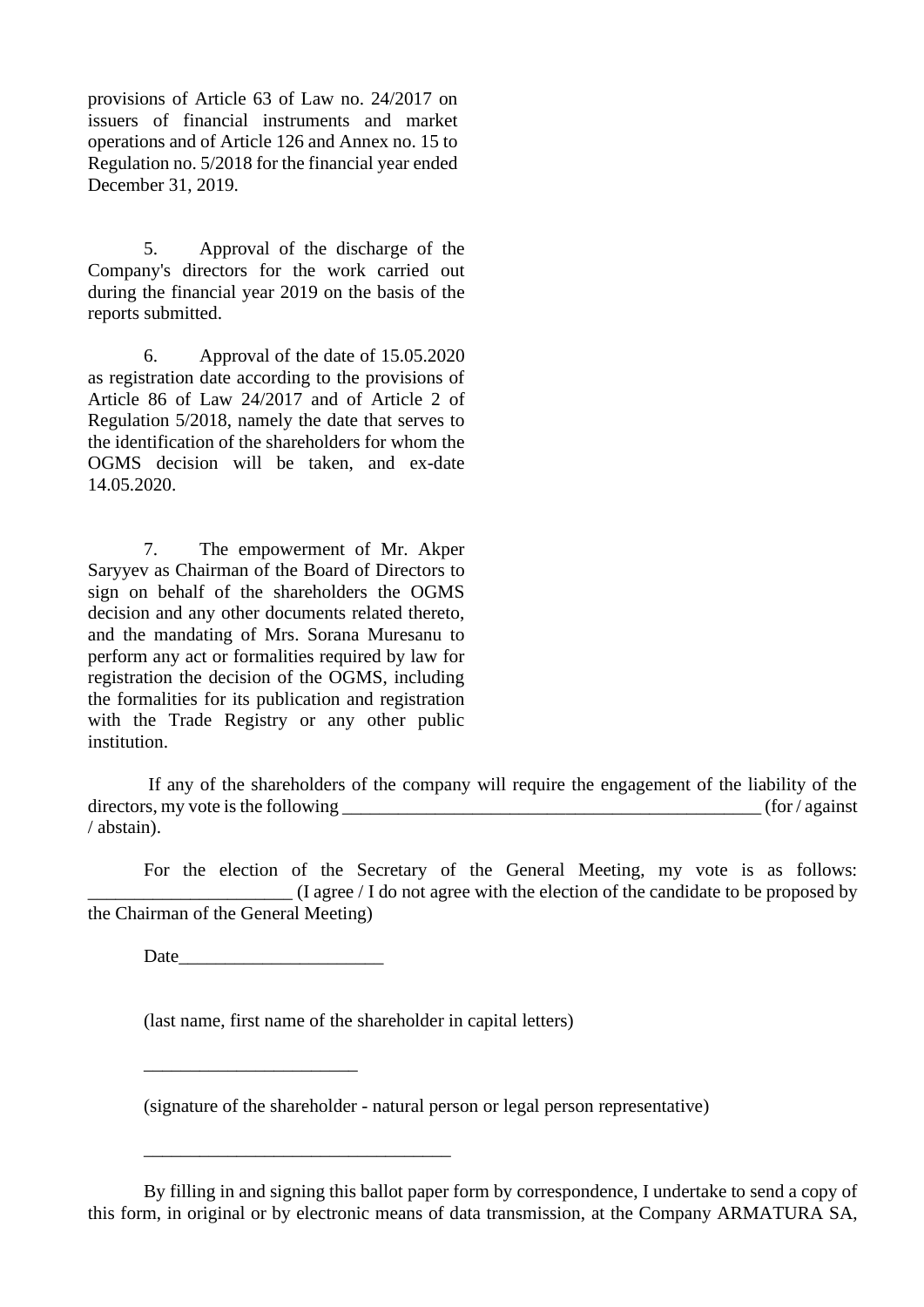provisions of Article 63 of Law no. 24/2017 on issuers of financial instruments and market operations and of Article 126 and Annex no. 15 to Regulation no. 5/2018 for the financial year ended December 31, 2019.

5. Approval of the discharge of the Company's directors for the work carried out during the financial year 2019 on the basis of the reports submitted.

6. Approval of the date of 15.05.2020 as registration date according to the provisions of Article 86 of Law 24/2017 and of Article 2 of Regulation 5/2018, namely the date that serves to the identification of the shareholders for whom the OGMS decision will be taken, and ex-date 14.05.2020.

7. The empowerment of Mr. Akper Saryyev as Chairman of the Board of Directors to sign on behalf of the shareholders the OGMS decision and any other documents related thereto, and the mandating of Mrs. Sorana Muresanu to perform any act or formalities required by law for registration the decision of the OGMS, including the formalities for its publication and registration with the Trade Registry or any other public institution.

If any of the shareholders of the company will require the engagement of the liability of the directors, my vote is the following \_\_\_\_\_\_\_\_\_\_\_\_\_\_\_\_\_\_\_\_\_\_\_\_\_\_\_\_\_\_\_\_\_\_\_\_\_\_\_\_\_\_\_\_\_ (for / against / abstain).

For the election of the Secretary of the General Meeting, my vote is as follows:  $\overline{\phantom{a}}$  (I agree / I do not agree with the election of the candidate to be proposed by the Chairman of the General Meeting)

Date

\_\_\_\_\_\_\_\_\_\_\_\_\_\_\_\_\_\_\_\_\_\_\_

\_\_\_\_\_\_\_\_\_\_\_\_\_\_\_\_\_\_\_\_\_\_\_\_\_\_\_\_\_\_\_\_\_

(last name, first name of the shareholder in capital letters)

(signature of the shareholder - natural person or legal person representative)

By filling in and signing this ballot paper form by correspondence, I undertake to send a copy of this form, in original or by electronic means of data transmission, at the Company ARMATURA SA,